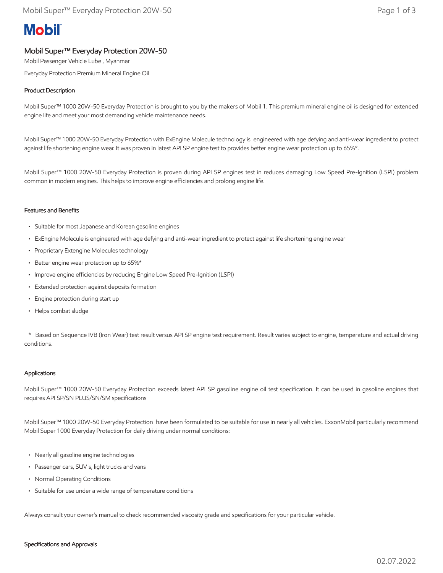# **Mobil**

## Mobil Super™ Everyday Protection 20W-50

Mobil Passenger Vehicle Lube , Myanmar

Everyday Protection Premium Mineral Engine Oil

### Product Description

Mobil Super™ 1000 20W-50 Everyday Protection is brought to you by the makers of Mobil 1. This premium mineral engine oil is designed for extended engine life and meet your most demanding vehicle maintenance needs.

Mobil Super™ 1000 20W-50 Everyday Protection with ExEngine Molecule technology is engineered with age defying and anti-wear ingredient to protect against life shortening engine wear. It was proven in latest API SP engine test to provides better engine wear protection up to 65%\*.

Mobil Super™ 1000 20W-50 Everyday Protection is proven during API SP engines test in reduces damaging Low Speed Pre-Ignition (LSPI) problem common in modern engines. This helps to improve engine efficiencies and prolong engine life.

#### Features and Benefits

- Suitable for most Japanese and Korean gasoline engines
- ExEngine Molecule is engineered with age defying and anti-wear ingredient to protect against life shortening engine wear
- Proprietary Extengine Molecules technology
- Better engine wear protection up to 65%\*
- Improve engine efficiencies by reducing Engine Low Speed Pre-Ignition (LSPI)
- Extended protection against deposits formation
- Engine protection during start up
- Helps combat sludge

 \* Based on Sequence IVB (Iron Wear) test result versus API SP engine test requirement. Result varies subject to engine, temperature and actual driving conditions.

#### Applications

Mobil Super™ 1000 20W-50 Everyday Protection exceeds latest API SP gasoline engine oil test specification. It can be used in gasoline engines that requires API SP/SN PLUS/SN/SM specifications

Mobil Super™ 1000 20W-50 Everyday Protection have been formulated to be suitable for use in nearly all vehicles. ExxonMobil particularly recommend Mobil Super 1000 Everyday Protection for daily driving under normal conditions:

- Nearly all gasoline engine technologies
- Passenger cars, SUV's, light trucks and vans
- Normal Operating Conditions
- Suitable for use under a wide range of temperature conditions

Always consult your owner's manual to check recommended viscosity grade and specifications for your particular vehicle.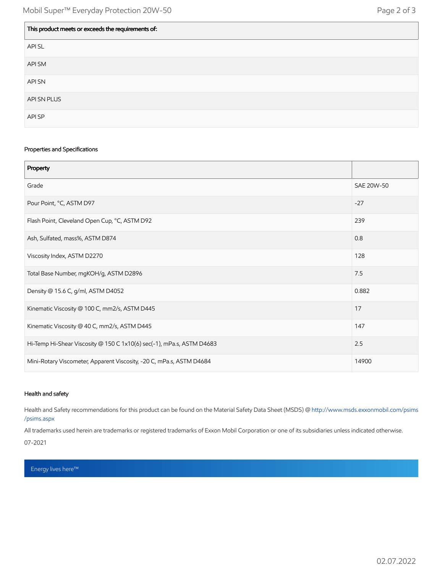| This product meets or exceeds the requirements of: |
|----------------------------------------------------|
| API SL                                             |
| API SM                                             |
| API SN                                             |
| API SN PLUS                                        |
| API SP                                             |

#### Properties and Specifications

| Property                                                              |            |
|-----------------------------------------------------------------------|------------|
| Grade                                                                 | SAE 20W-50 |
| Pour Point, °C, ASTM D97                                              | $-27$      |
| Flash Point, Cleveland Open Cup, °C, ASTM D92                         | 239        |
| Ash, Sulfated, mass%, ASTM D874                                       | 0.8        |
| Viscosity Index, ASTM D2270                                           | 128        |
| Total Base Number, mgKOH/g, ASTM D2896                                | 7.5        |
| Density @ 15.6 C, g/ml, ASTM D4052                                    | 0.882      |
| Kinematic Viscosity @ 100 C, mm2/s, ASTM D445                         | 17         |
| Kinematic Viscosity @ 40 C, mm2/s, ASTM D445                          | 147        |
| Hi-Temp Hi-Shear Viscosity @ 150 C 1x10(6) sec(-1), mPa.s, ASTM D4683 | 2.5        |
| Mini-Rotary Viscometer, Apparent Viscosity, -20 C, mPa.s, ASTM D4684  | 14900      |

#### Health and safety

Health and Safety recommendations for this product can be found on the Material Safety Data Sheet (MSDS) @ [http://www.msds.exxonmobil.com/psims](http://www.msds.exxonmobil.com/psims/psims.aspx) /psims.aspx

All trademarks used herein are trademarks or registered trademarks of Exxon Mobil Corporation or one of its subsidiaries unless indicated otherwise. 07-2021